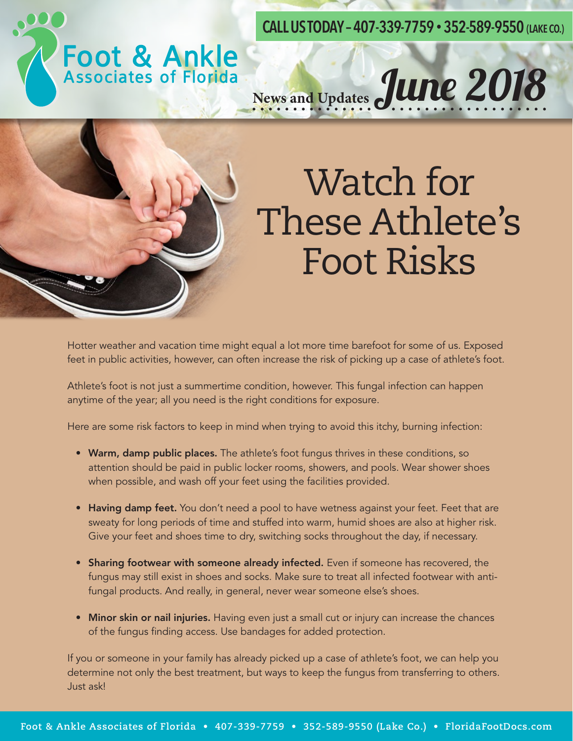**CALL US TODAY – 407-339-7759 • 352-589-9550 (LAKE CO.)**



# News and Updates June 2018



### Watch for These Athlete's Foot Risks

Hotter weather and vacation time might equal a lot more time barefoot for some of us. Exposed feet in public activities, however, can often increase the risk of picking up a case of athlete's foot.

Athlete's foot is not just a summertime condition, however. This fungal infection can happen anytime of the year; all you need is the right conditions for exposure.

Here are some risk factors to keep in mind when trying to avoid this itchy, burning infection:

- Warm, damp public places. The athlete's foot fungus thrives in these conditions, so attention should be paid in public locker rooms, showers, and pools. Wear shower shoes when possible, and wash off your feet using the facilities provided.
- Having damp feet. You don't need a pool to have wetness against your feet. Feet that are sweaty for long periods of time and stuffed into warm, humid shoes are also at higher risk. Give your feet and shoes time to dry, switching socks throughout the day, if necessary.
- Sharing footwear with someone already infected. Even if someone has recovered, the fungus may still exist in shoes and socks. Make sure to treat all infected footwear with antifungal products. And really, in general, never wear someone else's shoes.
- Minor skin or nail injuries. Having even just a small cut or injury can increase the chances of the fungus finding access. Use bandages for added protection.

If you or someone in your family has already picked up a case of athlete's foot, we can help you determine not only the best treatment, but ways to keep the fungus from transferring to others. Just ask!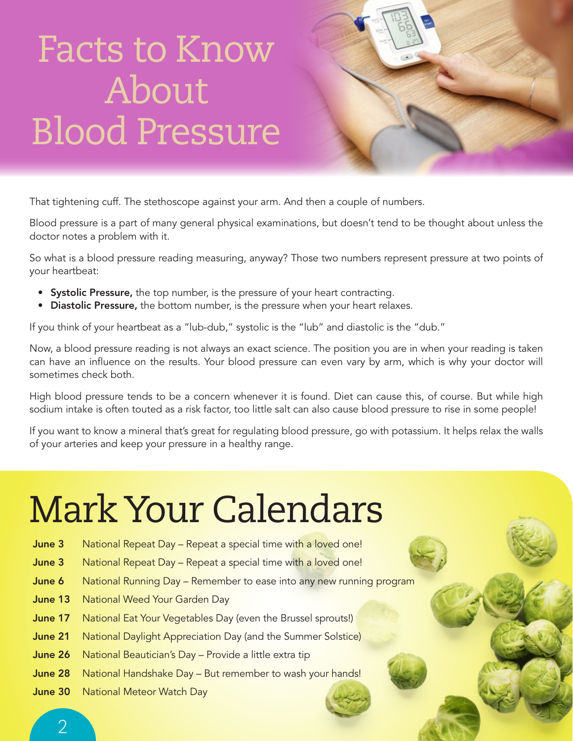### Facts to Know About Blood Pressure



That tightening cuff. The stethoscope against your arm. And then a couple of numbers.

Blood pressure is a part of many general physical examinations, but doesn't tend to be thought about unless the doctor notes a problem with it.

So what is a blood pressure reading measuring, anyway? Those two numbers represent pressure at two points of your heartbeat:

- Systolic Pressure, the top number, is the pressure of your heart contracting.
- Diastolic Pressure, the bottom number, is the pressure when your heart relaxes.

If you think of your heartbeat as a "lub-dub," systolic is the "lub" and diastolic is the "dub."

Now, a blood pressure reading is not always an exact science. The position you are in when your reading is taken can have an influence on the results. Your blood pressure can even vary by arm, which is why your doctor will sometimes check both.

High blood pressure tends to be a concern whenever it is found. Diet can cause this, of course. But while high sodium intake is often touted as a risk factor, too little salt can also cause blood pressure to rise in some people!

If you want to know a mineral that's great for regulating blood pressure, go with potassium. It helps relax the walls of your arteries and keep your pressure in a healthy range.

## Mark Your Calendars

- June 3 National Repeat Day Repeat a special time with a loved one!
- June 3 National Repeat Day Repeat a special time with a loved one!
- **June 6** National Running Day Remember to ease into any new running program
- **June 13** National Weed Your Garden Day
- **June 17** National Eat Your Vegetables Day (even the Brussel sprouts!)
- **June 21** National Daylight Appreciation Day (and the Summer Solstice)
- June 26 National Beautician's Day Provide a little extra tip
- June 28 National Handshake Day But remember to wash your hands!
- June 30 National Meteor Watch Day

 $\overline{\mathcal{L}}$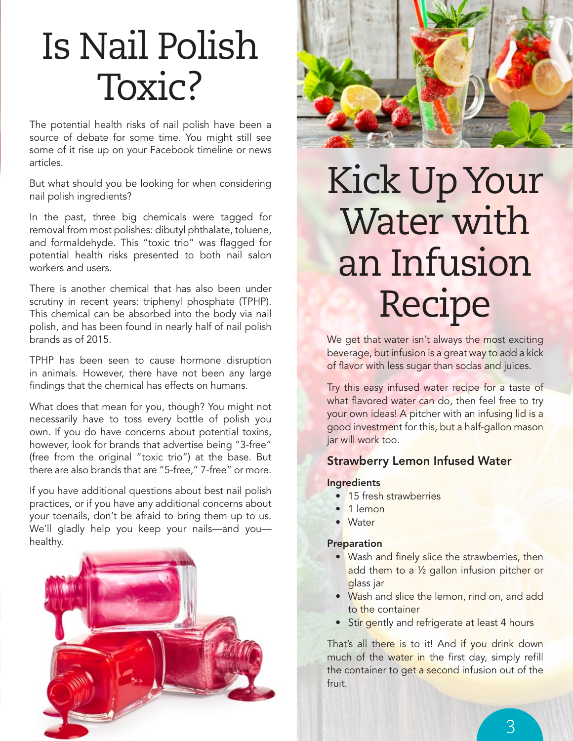### Is Nail Polish Toxic?

The potential health risks of nail polish have been a source of debate for some time. You might still see some of it rise up on your Facebook timeline or news articles.

But what should you be looking for when considering nail polish ingredients?

In the past, three big chemicals were tagged for removal from most polishes: dibutyl phthalate, toluene, and formaldehyde. This "toxic trio" was flagged for potential health risks presented to both nail salon workers and users.

There is another chemical that has also been under scrutiny in recent years: triphenyl phosphate (TPHP). This chemical can be absorbed into the body via nail polish, and has been found in nearly half of nail polish brands as of 2015.

TPHP has been seen to cause hormone disruption in animals. However, there have not been any large findings that the chemical has effects on humans.

What does that mean for you, though? You might not necessarily have to toss every bottle of polish you own. If you do have concerns about potential toxins, however, look for brands that advertise being "3-free" (free from the original "toxic trio") at the base. But there are also brands that are "5-free," 7-free" or more.

If you have additional questions about best nail polish practices, or if you have any additional concerns about your toenails, don't be afraid to bring them up to us. We'll gladly help you keep your nails—and you healthy.





### Kick Up Your Water with an Infusion Recipe

We get that water isn't always the most exciting beverage, but infusion is a great way to add a kick of flavor with less sugar than sodas and juices.

Try this easy infused water recipe for a taste of what flavored water can do, then feel free to try your own ideas! A pitcher with an infusing lid is a good investment for this, but a half-gallon mason jar will work too.

#### Strawberry Lemon Infused Water

#### **Ingredients**

- 15 fresh strawberries
- 1 lemon
- Water

#### Preparation

- Wash and finely slice the strawberries, then add them to a 1/2 gallon infusion pitcher or glass jar
- Wash and slice the lemon, rind on, and add to the container
- Stir gently and refrigerate at least 4 hours

That's all there is to it! And if you drink down much of the water in the first day, simply refill the container to get a second infusion out of the fruit.